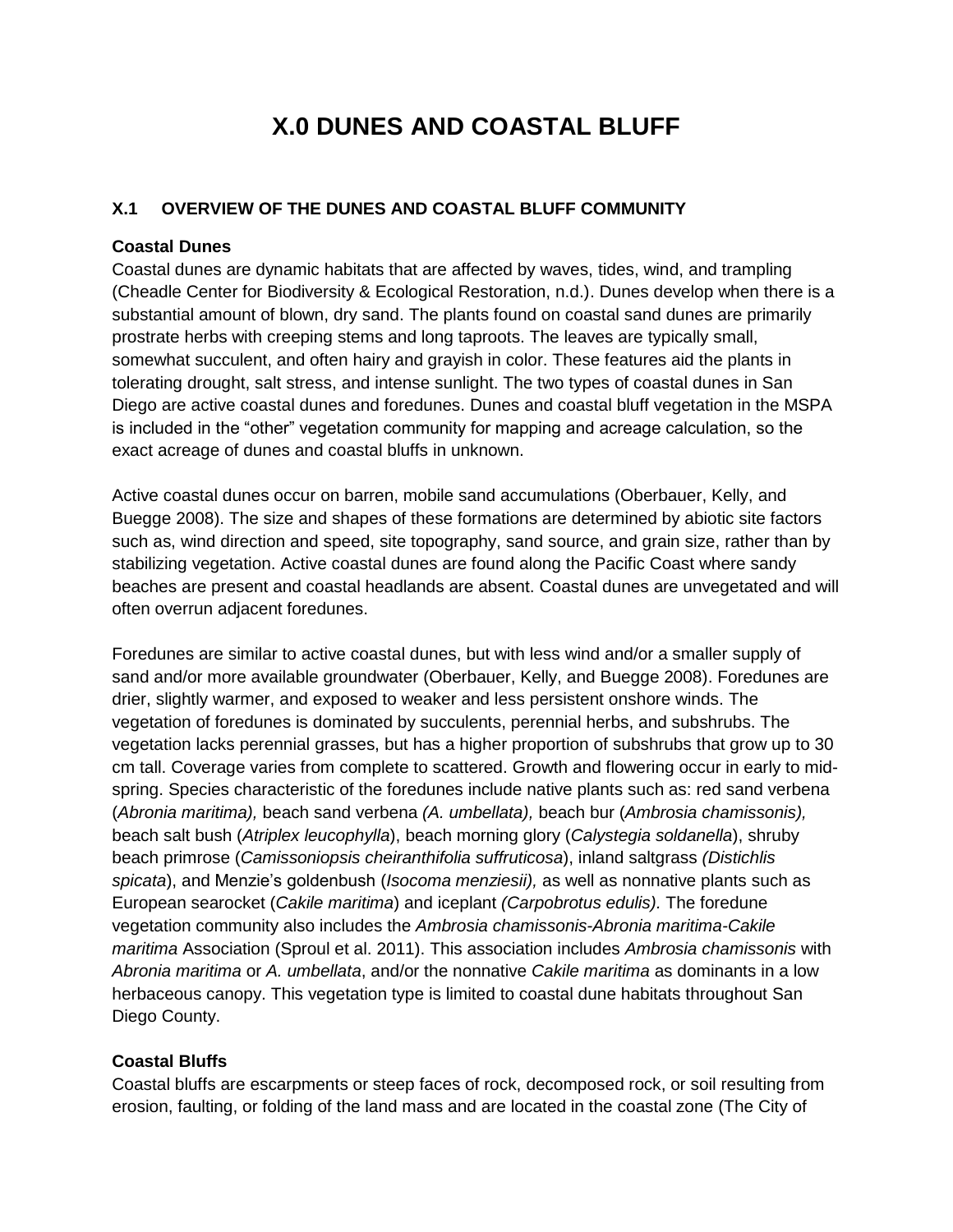# **X.0 DUNES AND COASTAL BLUFF**

#### **X.1 OVERVIEW OF THE DUNES AND COASTAL BLUFF COMMUNITY**

#### **Coastal Dunes**

Coastal dunes are dynamic habitats that are affected by waves, tides, wind, and trampling (Cheadle Center for Biodiversity & Ecological Restoration, n.d.). Dunes develop when there is a substantial amount of blown, dry sand. The plants found on coastal sand dunes are primarily prostrate herbs with creeping stems and long taproots. The leaves are typically small, somewhat succulent, and often hairy and grayish in color. These features aid the plants in tolerating drought, salt stress, and intense sunlight. The two types of coastal dunes in San Diego are active coastal dunes and foredunes. Dunes and coastal bluff vegetation in the MSPA is included in the "other" vegetation community for mapping and acreage calculation, so the exact acreage of dunes and coastal bluffs in unknown.

Active coastal dunes occur on barren, mobile sand accumulations (Oberbauer, Kelly, and Buegge 2008). The size and shapes of these formations are determined by abiotic site factors such as, wind direction and speed, site topography, sand source, and grain size, rather than by stabilizing vegetation. Active coastal dunes are found along the Pacific Coast where sandy beaches are present and coastal headlands are absent. Coastal dunes are unvegetated and will often overrun adjacent foredunes.

Foredunes are similar to active coastal dunes, but with less wind and/or a smaller supply of sand and/or more available groundwater (Oberbauer, Kelly, and Buegge 2008). Foredunes are drier, slightly warmer, and exposed to weaker and less persistent onshore winds. The vegetation of foredunes is dominated by succulents, perennial herbs, and subshrubs. The vegetation lacks perennial grasses, but has a higher proportion of subshrubs that grow up to 30 cm tall. Coverage varies from complete to scattered. Growth and flowering occur in early to midspring. Species characteristic of the foredunes include native plants such as: red sand verbena (*Abronia maritima),* beach sand verbena *(A. umbellata),* beach bur (*Ambrosia chamissonis),*  beach salt bush (*Atriplex leucophylla*), beach morning glory (*Calystegia soldanella*), shruby beach primrose (*Camissoniopsis cheiranthifolia suffruticosa*), inland saltgrass *(Distichlis spicata*), and Menzie's goldenbush (*Isocoma menziesii),* as well as nonnative plants such as European searocket (*Cakile maritima*) and iceplant *(Carpobrotus edulis).* The foredune vegetation community also includes the *Ambrosia chamissonis-Abronia maritima-Cakile maritima* Association (Sproul et al. 2011). This association includes *Ambrosia chamissonis* with *Abronia maritima* or *A. umbellata*, and/or the nonnative *Cakile maritima* as dominants in a low herbaceous canopy. This vegetation type is limited to coastal dune habitats throughout San Diego County.

#### **Coastal Bluffs**

Coastal bluffs are escarpments or steep faces of rock, decomposed rock, or soil resulting from erosion, faulting, or folding of the land mass and are located in the coastal zone (The City of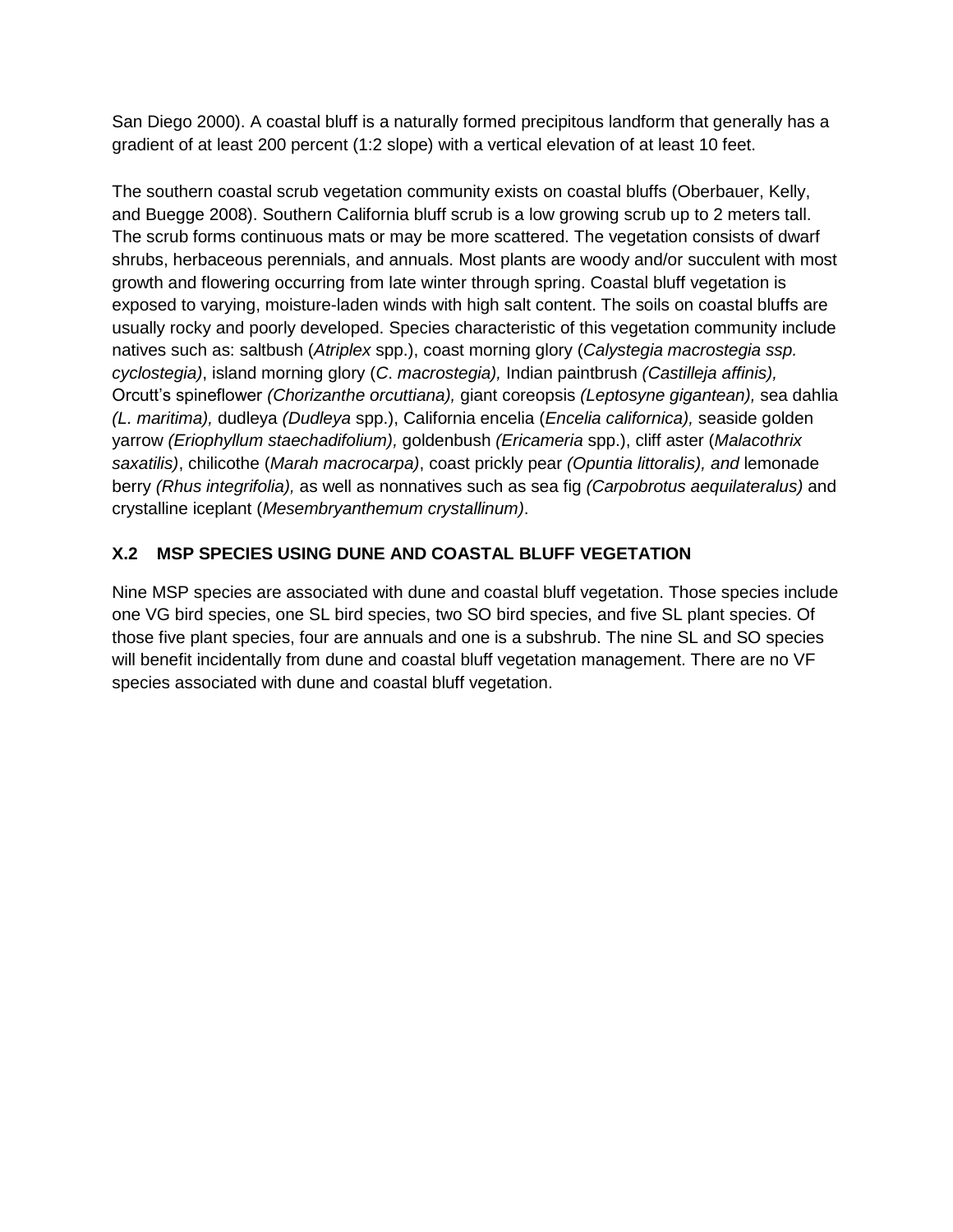San Diego 2000). A coastal bluff is a naturally formed precipitous landform that generally has a gradient of at least 200 percent (1:2 slope) with a vertical elevation of at least 10 feet.

The southern coastal scrub vegetation community exists on coastal bluffs (Oberbauer, Kelly, and Buegge 2008). Southern California bluff scrub is a low growing scrub up to 2 meters tall. The scrub forms continuous mats or may be more scattered. The vegetation consists of dwarf shrubs, herbaceous perennials, and annuals. Most plants are woody and/or succulent with most growth and flowering occurring from late winter through spring. Coastal bluff vegetation is exposed to varying, moisture-laden winds with high salt content. The soils on coastal bluffs are usually rocky and poorly developed. Species characteristic of this vegetation community include natives such as: saltbush (*Atriplex* spp.), coast morning glory (*Calystegia macrostegia ssp. cyclostegia)*, island morning glory (*C*. *macrostegia),* Indian paintbrush *(Castilleja affinis),*  Orcutt's spineflower *(Chorizanthe orcuttiana),* giant coreopsis *(Leptosyne gigantean),* sea dahlia *(L. maritima),* dudleya *(Dudleya* spp.), California encelia (*Encelia californica),* seaside golden yarrow *(Eriophyllum staechadifolium),* goldenbush *(Ericameria* spp.), cliff aster (*Malacothrix saxatilis)*, chilicothe (*Marah macrocarpa)*, coast prickly pear *(Opuntia littoralis), and* lemonade berry *(Rhus integrifolia),* as well as nonnatives such as sea fig *(Carpobrotus aequilateralus)* and crystalline iceplant (*Mesembryanthemum crystallinum)*.

# **X.2 MSP SPECIES USING DUNE AND COASTAL BLUFF VEGETATION**

Nine MSP species are associated with dune and coastal bluff vegetation. Those species include one VG bird species, one SL bird species, two SO bird species, and five SL plant species. Of those five plant species, four are annuals and one is a subshrub. The nine SL and SO species will benefit incidentally from dune and coastal bluff vegetation management. There are no VF species associated with dune and coastal bluff vegetation.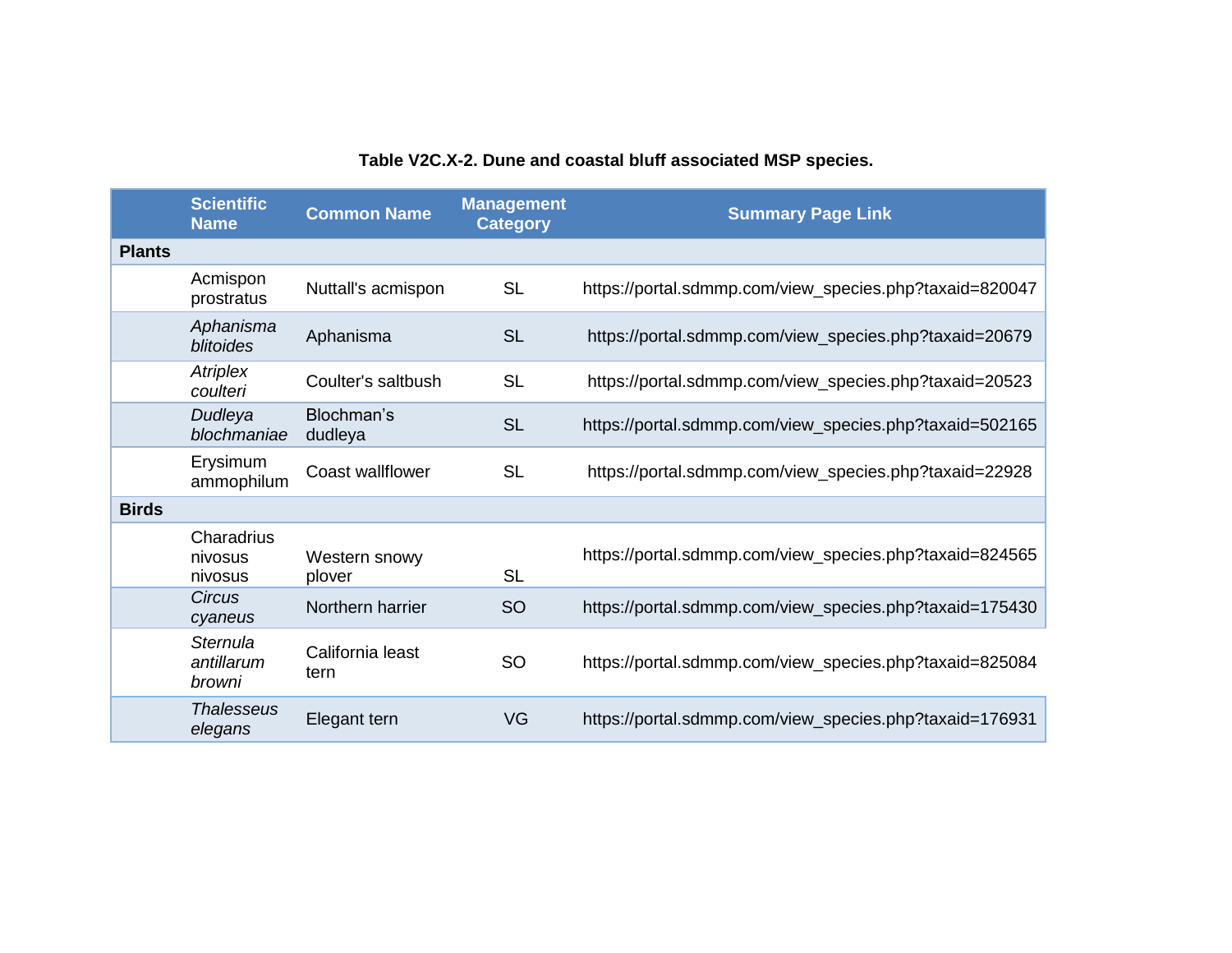|               | <b>Scientific</b><br><b>Name</b> | <b>Common Name</b>       | <b>Management</b><br><b>Category</b> | <b>Summary Page Link</b>                                |
|---------------|----------------------------------|--------------------------|--------------------------------------|---------------------------------------------------------|
| <b>Plants</b> |                                  |                          |                                      |                                                         |
|               | Acmispon<br>prostratus           | Nuttall's acmispon       | <b>SL</b>                            | https://portal.sdmmp.com/view_species.php?taxaid=820047 |
|               | Aphanisma<br><b>blitoides</b>    | Aphanisma                | <b>SL</b>                            | https://portal.sdmmp.com/view_species.php?taxaid=20679  |
|               | Atriplex<br>coulteri             | Coulter's saltbush       | <b>SL</b>                            | https://portal.sdmmp.com/view_species.php?taxaid=20523  |
|               | Dudleya<br>blochmaniae           | Blochman's<br>dudleya    | <b>SL</b>                            | https://portal.sdmmp.com/view_species.php?taxaid=502165 |
|               | Erysimum<br>ammophilum           | <b>Coast wallflower</b>  | <b>SL</b>                            | https://portal.sdmmp.com/view_species.php?taxaid=22928  |
| <b>Birds</b>  |                                  |                          |                                      |                                                         |
|               | Charadrius<br>nivosus<br>nivosus | Western snowy<br>plover  | <b>SL</b>                            | https://portal.sdmmp.com/view_species.php?taxaid=824565 |
|               | <b>Circus</b><br>cyaneus         | Northern harrier         | <b>SO</b>                            | https://portal.sdmmp.com/view_species.php?taxaid=175430 |
|               | Sternula<br>antillarum<br>browni | California least<br>tern | <b>SO</b>                            | https://portal.sdmmp.com/view_species.php?taxaid=825084 |
|               | <b>Thalesseus</b><br>elegans     | Elegant tern             | VG                                   | https://portal.sdmmp.com/view_species.php?taxaid=176931 |

# **Table V2C.X-2. Dune and coastal bluff associated MSP species.**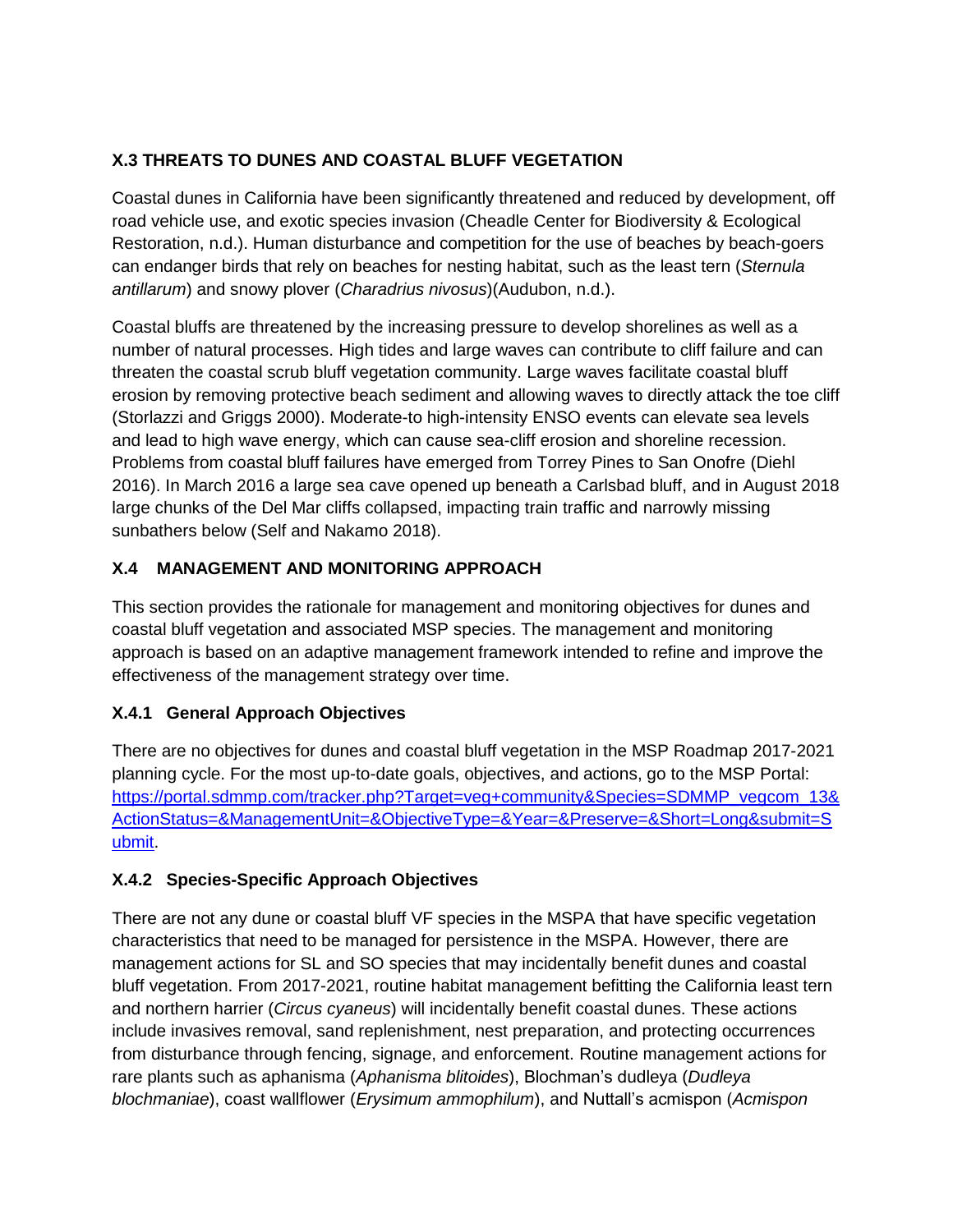# **X.3 THREATS TO DUNES AND COASTAL BLUFF VEGETATION**

Coastal dunes in California have been significantly threatened and reduced by development, off road vehicle use, and exotic species invasion (Cheadle Center for Biodiversity & Ecological Restoration, n.d.). Human disturbance and competition for the use of beaches by beach-goers can endanger birds that rely on beaches for nesting habitat, such as the least tern (*Sternula antillarum*) and snowy plover (*Charadrius nivosus*)(Audubon, n.d.).

Coastal bluffs are threatened by the increasing pressure to develop shorelines as well as a number of natural processes. High tides and large waves can contribute to cliff failure and can threaten the coastal scrub bluff vegetation community. Large waves facilitate coastal bluff erosion by removing protective beach sediment and allowing waves to directly attack the toe cliff (Storlazzi and Griggs 2000). Moderate-to high-intensity ENSO events can elevate sea levels and lead to high wave energy, which can cause sea-cliff erosion and shoreline recession. Problems from coastal bluff failures have emerged from Torrey Pines to San Onofre (Diehl 2016). In March 2016 a large sea cave opened up beneath a Carlsbad bluff, and in August 2018 large chunks of the Del Mar cliffs collapsed, impacting train traffic and narrowly missing sunbathers below (Self and Nakamo 2018).

### **X.4 MANAGEMENT AND MONITORING APPROACH**

This section provides the rationale for management and monitoring objectives for dunes and coastal bluff vegetation and associated MSP species. The management and monitoring approach is based on an adaptive management framework intended to refine and improve the effectiveness of the management strategy over time.

#### **X.4.1 General Approach Objectives**

There are no objectives for dunes and coastal bluff vegetation in the MSP Roadmap 2017-2021 planning cycle. For the most up-to-date goals, objectives, and actions, go to the MSP Portal: [https://portal.sdmmp.com/tracker.php?Target=veg+community&Species=SDMMP\\_vegcom\\_13&](https://portal.sdmmp.com/tracker.php?Target=veg+community&Species=SDMMP_vegcom_13&ActionStatus=&ManagementUnit=&ObjectiveType=&Year=&Preserve=&Short=Long&submit=Submit) [ActionStatus=&ManagementUnit=&ObjectiveType=&Year=&Preserve=&Short=Long&submit=S](https://portal.sdmmp.com/tracker.php?Target=veg+community&Species=SDMMP_vegcom_13&ActionStatus=&ManagementUnit=&ObjectiveType=&Year=&Preserve=&Short=Long&submit=Submit) [ubmit.](https://portal.sdmmp.com/tracker.php?Target=veg+community&Species=SDMMP_vegcom_13&ActionStatus=&ManagementUnit=&ObjectiveType=&Year=&Preserve=&Short=Long&submit=Submit)

# **X.4.2 Species-Specific Approach Objectives**

There are not any dune or coastal bluff VF species in the MSPA that have specific vegetation characteristics that need to be managed for persistence in the MSPA. However, there are management actions for SL and SO species that may incidentally benefit dunes and coastal bluff vegetation. From 2017-2021, routine habitat management befitting the California least tern and northern harrier (*Circus cyaneus*) will incidentally benefit coastal dunes. These actions include invasives removal, sand replenishment, nest preparation, and protecting occurrences from disturbance through fencing, signage, and enforcement. Routine management actions for rare plants such as aphanisma (*Aphanisma blitoides*), Blochman's dudleya (*Dudleya blochmaniae*), coast wallflower (*Erysimum ammophilum*), and Nuttall's acmispon (*Acmispon*